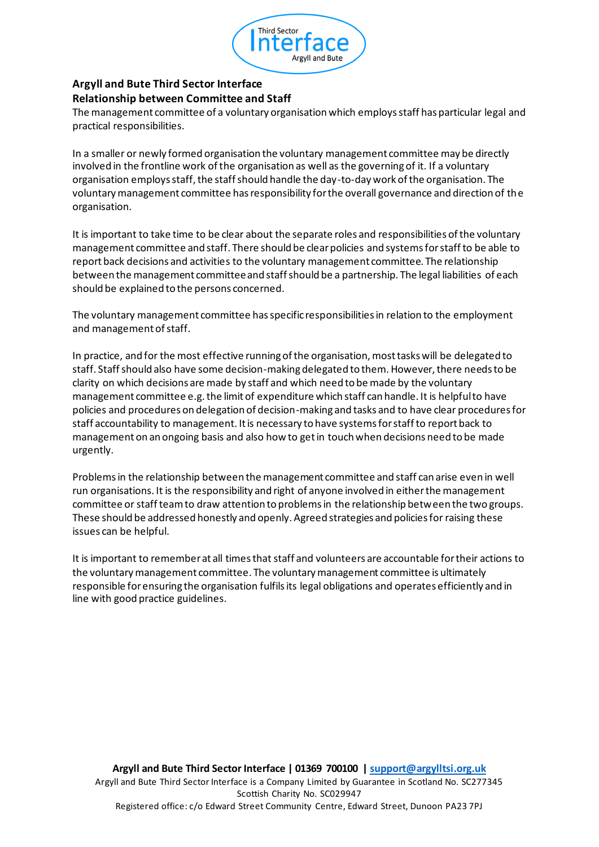

## **Argyll and Bute Third Sector Interface Relationship between Committee and Staff**

The management committee of a voluntary organisation which employs staff has particular legal and practical responsibilities.

In a smaller or newly formed organisation the voluntary management committee may be directly involved in the frontline work of the organisation as well as the governing of it. If a voluntary organisation employs staff, the staff should handle the day-to-day work of the organisation. The voluntary management committee has responsibility for the overall governance and direction of the organisation.

It is important to take time to be clear about the separate roles and responsibilities of the voluntary management committee and staff. There should be clear policies and systems for staff to be able to report back decisions and activities to the voluntary management committee. The relationship between the management committee and staff should be a partnership. The legal liabilities of each should be explained to the persons concerned.

The voluntary management committee has specific responsibilities in relation to the employment and management of staff.

In practice, and for the most effective running of the organisation, most tasks will be delegated to staff. Staff should also have some decision-making delegated to them. However, there needs to be clarity on which decisions are made by staff and which need to be made by the voluntary management committee e.g. the limit of expenditure which staff can handle. It is helpful to have policies and procedures on delegation of decision-making and tasks and to have clear procedures for staff accountability to management. It is necessary to have systems for staff to report back to management on an ongoing basis and also how to get in touch when decisions need to be made urgently.

Problems in the relationship between the management committee and staff can arise even in well run organisations. It is the responsibility and right of anyone involved in either the management committee or staff team to draw attention to problems in the relationship between the two groups. These should be addressed honestly and openly. Agreed strategies and policies for raising these issues can be helpful.

It is important to remember at all times that staff and volunteers are accountable for their actions to the voluntary management committee. The voluntary management committee is ultimately responsible for ensuring the organisation fulfils its legal obligations and operates efficiently and in line with good practice guidelines.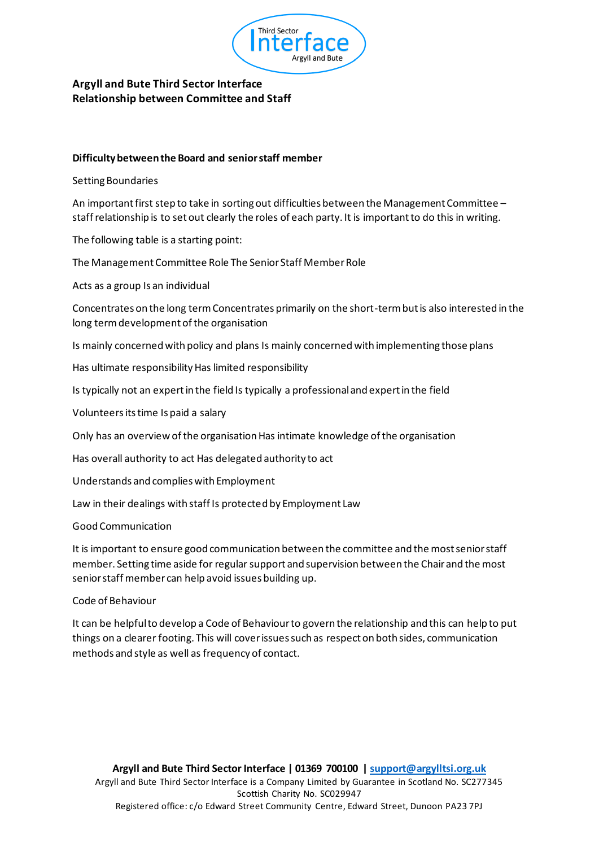

### **Argyll and Bute Third Sector Interface Relationship between Committee and Staff**

#### **Difficulty between the Board and senior staff member**

#### Setting Boundaries

An important first step to take in sorting out difficulties between the Management Committee – staff relationship is to set out clearly the roles of each party. It is important to do this in writing.

The following table is a starting point:

The Management Committee Role The Senior Staff Member Role

Acts as a group Is an individual

Concentrates on the long term Concentrates primarily on the short-term but is also interested in the long term development of the organisation

Is mainly concerned with policy and plans Is mainly concerned with implementing those plans

Has ultimate responsibility Has limited responsibility

Is typically not an expert in the field Is typically a professional and expert in the field

Volunteersits time Is paid a salary

Only has an overview of the organisation Has intimate knowledge of the organisation

Has overall authority to act Has delegated authority to act

Understands and complies with Employment

Law in their dealings with staff Is protected by Employment Law

Good Communication

It is important to ensure good communication between the committee and the most senior staff member. Setting time aside for regular support and supervision between the Chair and the most senior staff member can help avoid issues building up.

#### Code of Behaviour

It can be helpful to develop a Code of Behaviour to govern the relationship and this can help to put things on a clearer footing. This will cover issues such as respect on both sides, communication methods and style as well as frequency of contact.